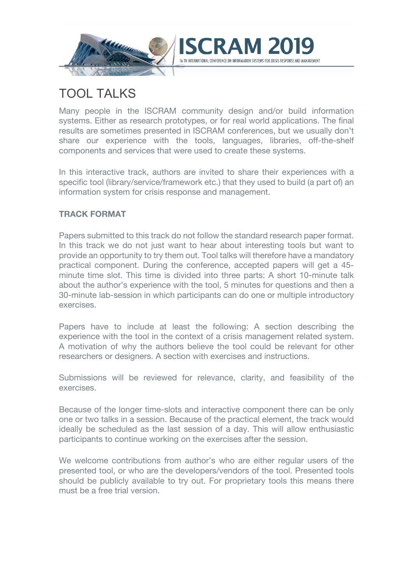

# TOOL TALKS

Many people in the ISCRAM community design and/or build information systems. Either as research prototypes, or for real world applications. The final results are sometimes presented in ISCRAM conferences, but we usually don't share our experience with the tools, languages, libraries, off-the-shelf components and services that were used to create these systems.

In this interactive track, authors are invited to share their experiences with a specific tool (library/service/framework etc.) that they used to build (a part of) an information system for crisis response and management.

#### **TRACK FORMAT**

Papers submitted to this track do not follow the standard research paper format. In this track we do not just want to hear about interesting tools but want to provide an opportunity to try them out. Tool talks will therefore have a mandatory practical component. During the conference, accepted papers will get a 45 minute time slot. This time is divided into three parts: A short 10-minute talk about the author's experience with the tool, 5 minutes for questions and then a 30-minute lab-session in which participants can do one or multiple introductory exercises.

Papers have to include at least the following: A section describing the experience with the tool in the context of a crisis management related system. A motivation of why the authors believe the tool could be relevant for other researchers or designers. A section with exercises and instructions.

Submissions will be reviewed for relevance, clarity, and feasibility of the exercises.

Because of the longer time-slots and interactive component there can be only one or two talks in a session. Because of the practical element, the track would ideally be scheduled as the last session of a day. This will allow enthusiastic participants to continue working on the exercises after the session.

We welcome contributions from author's who are either regular users of the presented tool, or who are the developers/vendors of the tool. Presented tools should be publicly available to try out. For proprietary tools this means there must be a free trial version.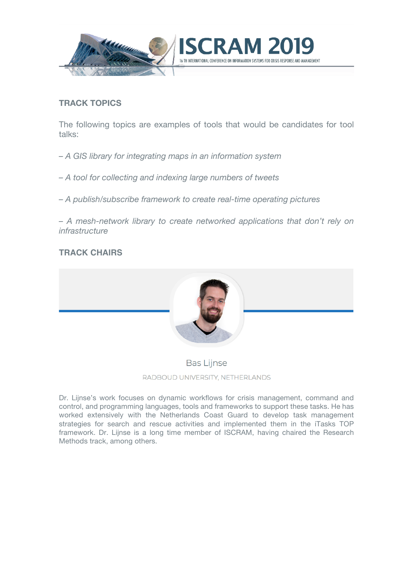

#### **TRACK TOPICS**

The following topics are examples of tools that would be candidates for tool talks:

*– A GIS library for integrating maps in an information system*

*– A tool for collecting and indexing large numbers of tweets*

*– A publish/subscribe framework to create real-time operating pictures*

*– A mesh-network library to create networked applications that don't rely on infrastructure*

#### **TRACK CHAIRS**



#### **Bas Lijnse**

RADBOUD UNIVERSITY, NETHERLANDS

Dr. Lijnse's work focuses on dynamic workflows for crisis management, command and control, and programming languages, tools and frameworks to support these tasks. He has worked extensively with the Netherlands Coast Guard to develop task management strategies for search and rescue activities and implemented them in the iTasks TOP framework. Dr. Lijnse is a long time member of ISCRAM, having chaired the Research Methods track, among others.